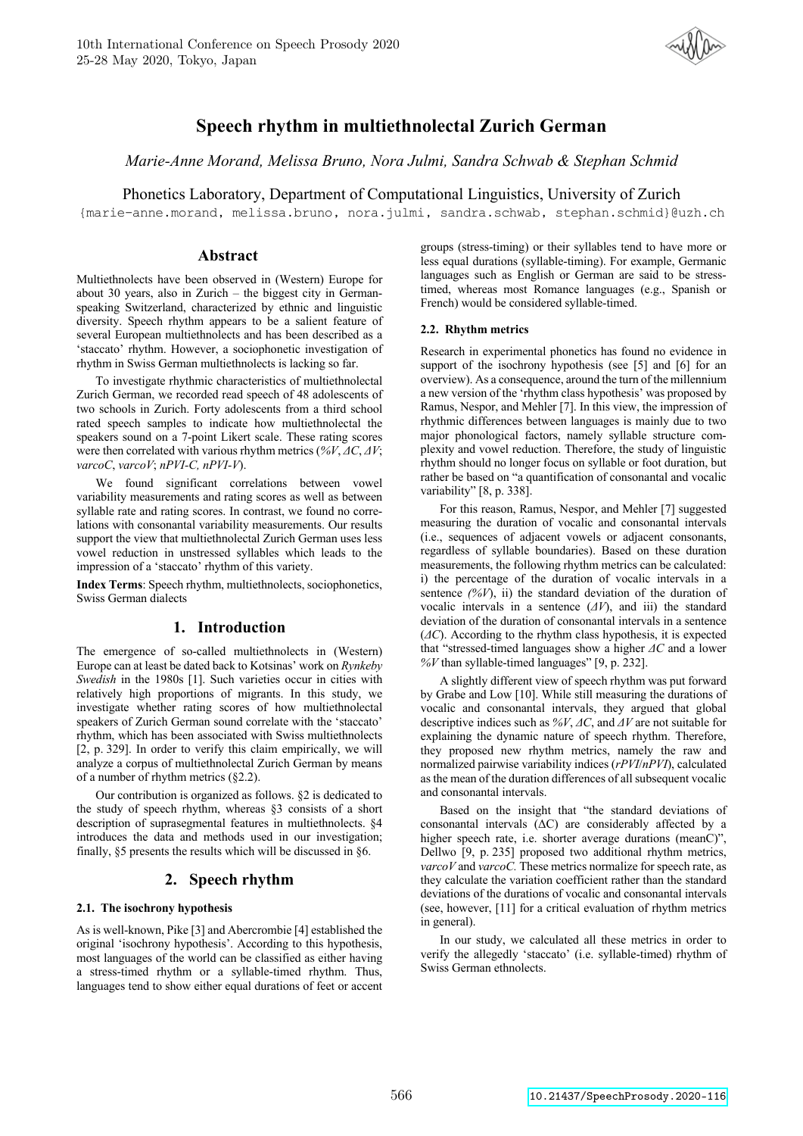

# **Speech rhythm in multiethnolectal Zurich German**

*Marie-Anne Morand, Melissa Bruno, Nora Julmi, Sandra Schwab & Stephan Schmid*

Phonetics Laboratory, Department of Computational Linguistics, University of Zurich

{marie-anne.morand, melissa.bruno, nora.julmi, sandra.schwab, stephan.schmid}@uzh.ch

# **Abstract**

Multiethnolects have been observed in (Western) Europe for about 30 years, also in Zurich – the biggest city in Germanspeaking Switzerland, characterized by ethnic and linguistic diversity. Speech rhythm appears to be a salient feature of several European multiethnolects and has been described as a 'staccato' rhythm. However, a sociophonetic investigation of rhythm in Swiss German multiethnolects is lacking so far.

To investigate rhythmic characteristics of multiethnolectal Zurich German, we recorded read speech of 48 adolescents of two schools in Zurich. Forty adolescents from a third school rated speech samples to indicate how multiethnolectal the speakers sound on a 7-point Likert scale. These rating scores were then correlated with various rhythm metrics (*%V*, *ΔC*, *ΔV*; *varcoC*, *varcoV*; *nPVI-C, nPVI-V*).

We found significant correlations between vowel variability measurements and rating scores as well as between syllable rate and rating scores. In contrast, we found no correlations with consonantal variability measurements. Our results support the view that multiethnolectal Zurich German uses less vowel reduction in unstressed syllables which leads to the impression of a 'staccato' rhythm of this variety.

**Index Terms**: Speech rhythm, multiethnolects, sociophonetics, Swiss German dialects

### **1. Introduction**

The emergence of so-called multiethnolects in (Western) Europe can at least be dated back to Kotsinas' work on *Rynkeby Swedish* in the 1980s [1]. Such varieties occur in cities with relatively high proportions of migrants. In this study, we investigate whether rating scores of how multiethnolectal speakers of Zurich German sound correlate with the 'staccato' rhythm, which has been associated with Swiss multiethnolects [2, p. 329]. In order to verify this claim empirically, we will analyze a corpus of multiethnolectal Zurich German by means of a number of rhythm metrics (§2.2).

Our contribution is organized as follows. §2 is dedicated to the study of speech rhythm, whereas §3 consists of a short description of suprasegmental features in multiethnolects. §4 introduces the data and methods used in our investigation; finally, §5 presents the results which will be discussed in §6.

# **2. Speech rhythm**

### **2.1. The isochrony hypothesis**

As is well-known, Pike [3] and Abercrombie [4] established the original 'isochrony hypothesis'. According to this hypothesis, most languages of the world can be classified as either having a stress-timed rhythm or a syllable-timed rhythm. Thus, languages tend to show either equal durations of feet or accent groups (stress-timing) or their syllables tend to have more or less equal durations (syllable-timing). For example, Germanic languages such as English or German are said to be stresstimed, whereas most Romance languages (e.g., Spanish or French) would be considered syllable-timed.

### **2.2. Rhythm metrics**

Research in experimental phonetics has found no evidence in support of the isochrony hypothesis (see [5] and [6] for an overview). As a consequence, around the turn of the millennium a new version of the 'rhythm class hypothesis' was proposed by Ramus, Nespor, and Mehler [7]. In this view, the impression of rhythmic differences between languages is mainly due to two major phonological factors, namely syllable structure complexity and vowel reduction. Therefore, the study of linguistic rhythm should no longer focus on syllable or foot duration, but rather be based on "a quantification of consonantal and vocalic variability" [8, p. 338].

For this reason, Ramus, Nespor, and Mehler [7] suggested measuring the duration of vocalic and consonantal intervals (i.e., sequences of adjacent vowels or adjacent consonants, regardless of syllable boundaries). Based on these duration measurements, the following rhythm metrics can be calculated: i) the percentage of the duration of vocalic intervals in a sentence *(%V*), ii) the standard deviation of the duration of vocalic intervals in a sentence (*ΔV*), and iii) the standard deviation of the duration of consonantal intervals in a sentence (*ΔC*). According to the rhythm class hypothesis, it is expected that "stressed-timed languages show a higher *ΔC* and a lower *%V* than syllable-timed languages" [9, p. 232].

A slightly different view of speech rhythm was put forward by Grabe and Low [10]. While still measuring the durations of vocalic and consonantal intervals, they argued that global descriptive indices such as *%V*, *ΔC*, and *ΔV* are not suitable for explaining the dynamic nature of speech rhythm. Therefore, they proposed new rhythm metrics, namely the raw and normalized pairwise variability indices (*rPVI*/*nPVI*), calculated as the mean of the duration differences of all subsequent vocalic and consonantal intervals.

Based on the insight that "the standard deviations of consonantal intervals (ΔC) are considerably affected by a higher speech rate, i.e. shorter average durations (meanC)", Dellwo [9, p. 235] proposed two additional rhythm metrics, *varcoV* and *varcoC.* These metrics normalize for speech rate, as they calculate the variation coefficient rather than the standard deviations of the durations of vocalic and consonantal intervals (see, however, [11] for a critical evaluation of rhythm metrics in general).

In our study, we calculated all these metrics in order to verify the allegedly 'staccato' (i.e. syllable-timed) rhythm of Swiss German ethnolects.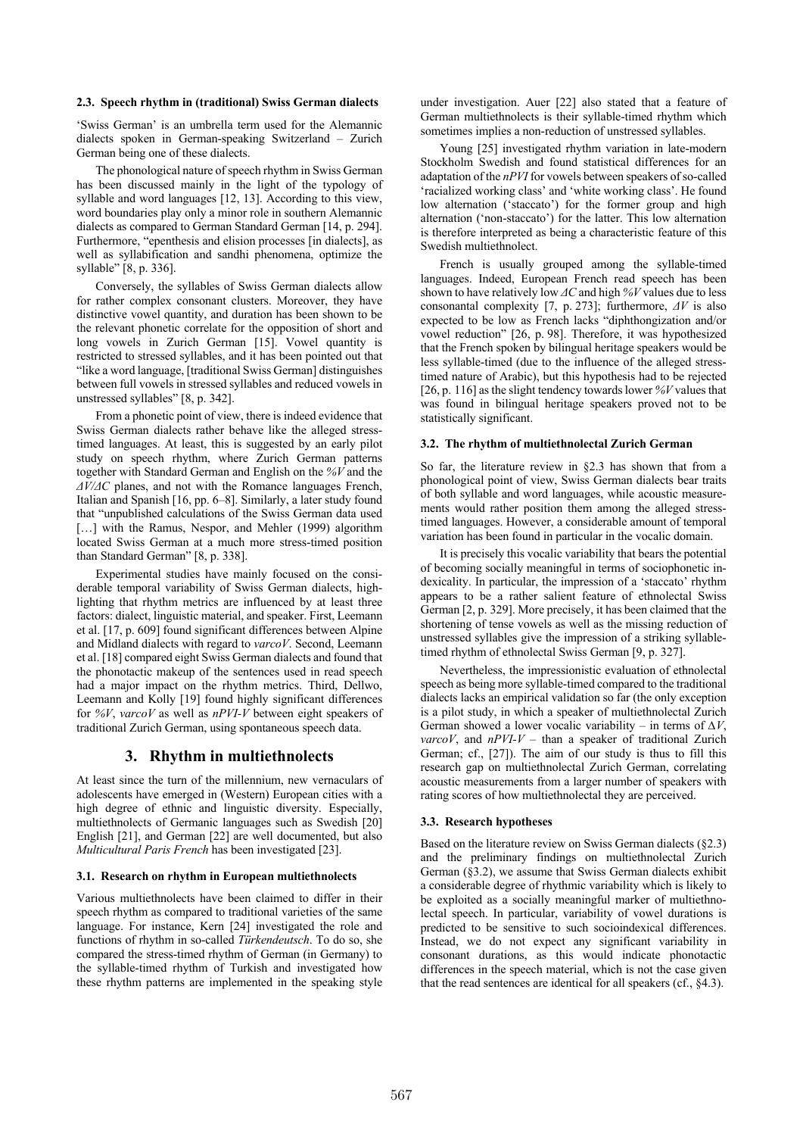### **2.3. Speech rhythm in (traditional) Swiss German dialects**

'Swiss German' is an umbrella term used for the Alemannic dialects spoken in German-speaking Switzerland – Zurich German being one of these dialects.

The phonological nature of speech rhythm in Swiss German has been discussed mainly in the light of the typology of syllable and word languages [12, 13]. According to this view, word boundaries play only a minor role in southern Alemannic dialects as compared to German Standard German [14, p. 294]. Furthermore, "epenthesis and elision processes [in dialects], as well as syllabification and sandhi phenomena, optimize the syllable" [8, p. 336].

Conversely, the syllables of Swiss German dialects allow for rather complex consonant clusters. Moreover, they have distinctive vowel quantity, and duration has been shown to be the relevant phonetic correlate for the opposition of short and long vowels in Zurich German [15]. Vowel quantity is restricted to stressed syllables, and it has been pointed out that "like a word language, [traditional Swiss German] distinguishes between full vowels in stressed syllables and reduced vowels in unstressed syllables" [8, p. 342].

From a phonetic point of view, there is indeed evidence that Swiss German dialects rather behave like the alleged stresstimed languages. At least, this is suggested by an early pilot study on speech rhythm, where Zurich German patterns together with Standard German and English on the *%V* and the *ΔV/ΔC* planes, and not with the Romance languages French, Italian and Spanish [16, pp. 6–8]. Similarly, a later study found that "unpublished calculations of the Swiss German data used [...] with the Ramus, Nespor, and Mehler (1999) algorithm located Swiss German at a much more stress-timed position than Standard German" [8, p. 338].

Experimental studies have mainly focused on the considerable temporal variability of Swiss German dialects, highlighting that rhythm metrics are influenced by at least three factors: dialect, linguistic material, and speaker. First, Leemann et al. [17, p. 609] found significant differences between Alpine and Midland dialects with regard to *varcoV*. Second, Leemann et al. [18] compared eight Swiss German dialects and found that the phonotactic makeup of the sentences used in read speech had a major impact on the rhythm metrics. Third, Dellwo, Leemann and Kolly [19] found highly significant differences for *%V*, *varcoV* as well as *nPVI-V* between eight speakers of traditional Zurich German, using spontaneous speech data.

### **3. Rhythm in multiethnolects**

At least since the turn of the millennium, new vernaculars of adolescents have emerged in (Western) European cities with a high degree of ethnic and linguistic diversity. Especially, multiethnolects of Germanic languages such as Swedish [20] English [21], and German [22] are well documented, but also *Multicultural Paris French* has been investigated [23].

#### **3.1. Research on rhythm in European multiethnolects**

Various multiethnolects have been claimed to differ in their speech rhythm as compared to traditional varieties of the same language. For instance, Kern [24] investigated the role and functions of rhythm in so-called *Türkendeutsch*. To do so, she compared the stress-timed rhythm of German (in Germany) to the syllable-timed rhythm of Turkish and investigated how these rhythm patterns are implemented in the speaking style

under investigation. Auer [22] also stated that a feature of German multiethnolects is their syllable-timed rhythm which sometimes implies a non-reduction of unstressed syllables.

Young [25] investigated rhythm variation in late-modern Stockholm Swedish and found statistical differences for an adaptation of the *nPVI* for vowels between speakers of so-called 'racialized working class' and 'white working class'. He found low alternation ('staccato') for the former group and high alternation ('non-staccato') for the latter. This low alternation is therefore interpreted as being a characteristic feature of this Swedish multiethnolect.

French is usually grouped among the syllable-timed languages. Indeed, European French read speech has been shown to have relatively low *ΔC* and high *%V* values due to less consonantal complexity [7, p. 273]; furthermore, *ΔV* is also expected to be low as French lacks "diphthongization and/or vowel reduction" [26, p. 98]. Therefore, it was hypothesized that the French spoken by bilingual heritage speakers would be less syllable-timed (due to the influence of the alleged stresstimed nature of Arabic), but this hypothesis had to be rejected [26, p. 116] as the slight tendency towards lower *%V* values that was found in bilingual heritage speakers proved not to be statistically significant.

#### **3.2. The rhythm of multiethnolectal Zurich German**

So far, the literature review in §2.3 has shown that from a phonological point of view, Swiss German dialects bear traits of both syllable and word languages, while acoustic measurements would rather position them among the alleged stresstimed languages. However, a considerable amount of temporal variation has been found in particular in the vocalic domain.

It is precisely this vocalic variability that bears the potential of becoming socially meaningful in terms of sociophonetic indexicality. In particular, the impression of a 'staccato' rhythm appears to be a rather salient feature of ethnolectal Swiss German [2, p. 329]. More precisely, it has been claimed that the shortening of tense vowels as well as the missing reduction of unstressed syllables give the impression of a striking syllabletimed rhythm of ethnolectal Swiss German [9, p. 327].

Nevertheless, the impressionistic evaluation of ethnolectal speech as being more syllable-timed compared to the traditional dialects lacks an empirical validation so far (the only exception is a pilot study, in which a speaker of multiethnolectal Zurich German showed a lower vocalic variability – in terms of  $\Delta V$ , *varcoV*, and *nPVI-V* – than a speaker of traditional Zurich German; cf., [27]). The aim of our study is thus to fill this research gap on multiethnolectal Zurich German, correlating acoustic measurements from a larger number of speakers with rating scores of how multiethnolectal they are perceived.

#### **3.3. Research hypotheses**

Based on the literature review on Swiss German dialects (§2.3) and the preliminary findings on multiethnolectal Zurich German (§3.2), we assume that Swiss German dialects exhibit a considerable degree of rhythmic variability which is likely to be exploited as a socially meaningful marker of multiethnolectal speech. In particular, variability of vowel durations is predicted to be sensitive to such socioindexical differences. Instead, we do not expect any significant variability in consonant durations, as this would indicate phonotactic differences in the speech material, which is not the case given that the read sentences are identical for all speakers (cf., §4.3).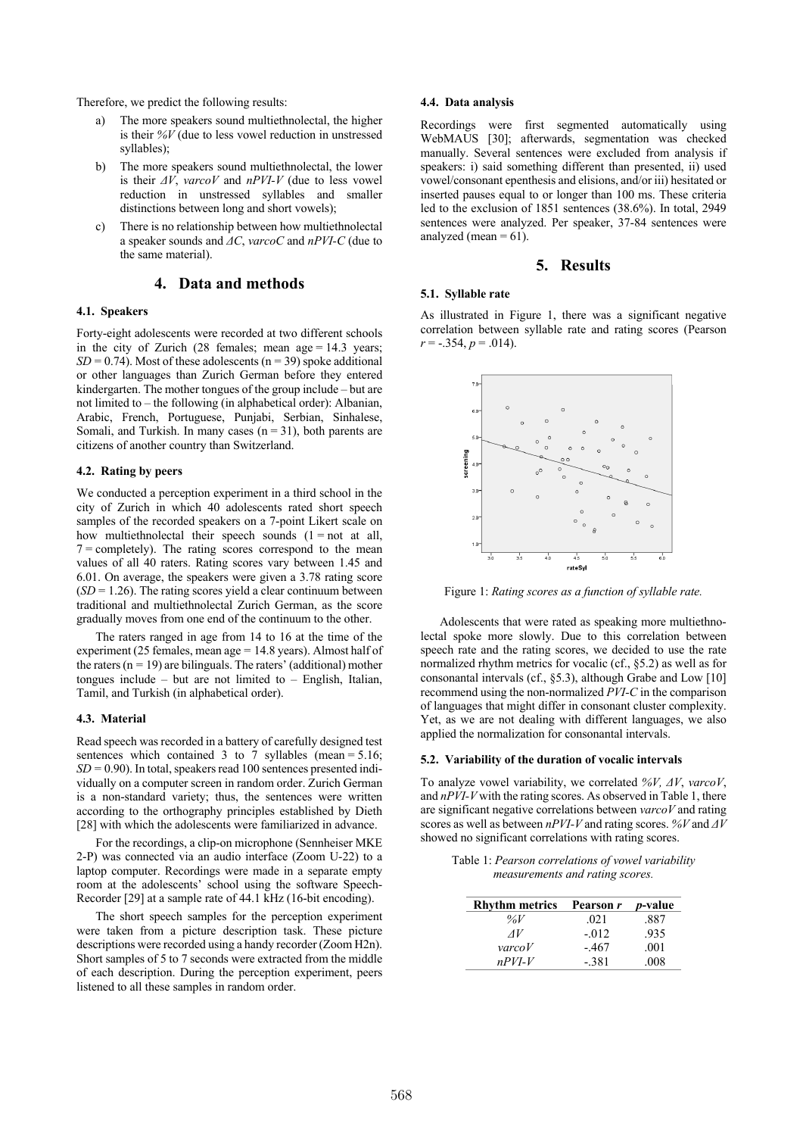Therefore, we predict the following results:

- a) The more speakers sound multiethnolectal, the higher is their *%V* (due to less vowel reduction in unstressed syllables);
- b) The more speakers sound multiethnolectal, the lower is their *ΔV*, *varcoV* and *nPVI-V* (due to less vowel reduction in unstressed syllables and smaller distinctions between long and short vowels);
- c) There is no relationship between how multiethnolectal a speaker sounds and *ΔC*, *varcoC* and *nPVI-C* (due to the same material).

# **4. Data and methods**

### **4.1. Speakers**

Forty-eight adolescents were recorded at two different schools in the city of Zurich (28 females; mean age = 14.3 years;  $SD = 0.74$ ). Most of these adolescents ( $n = 39$ ) spoke additional or other languages than Zurich German before they entered kindergarten. The mother tongues of the group include – but are not limited to – the following (in alphabetical order): Albanian, Arabic, French, Portuguese, Punjabi, Serbian, Sinhalese, Somali, and Turkish. In many cases  $(n = 31)$ , both parents are citizens of another country than Switzerland.

#### **4.2. Rating by peers**

We conducted a perception experiment in a third school in the city of Zurich in which 40 adolescents rated short speech samples of the recorded speakers on a 7-point Likert scale on how multiethnolectal their speech sounds  $(1 = not at all,$  $7 =$  completely). The rating scores correspond to the mean values of all 40 raters. Rating scores vary between 1.45 and 6.01. On average, the speakers were given a 3.78 rating score  $(SD = 1.26)$ . The rating scores yield a clear continuum between traditional and multiethnolectal Zurich German, as the score gradually moves from one end of the continuum to the other.

The raters ranged in age from 14 to 16 at the time of the experiment (25 females, mean age = 14.8 years). Almost half of the raters ( $n = 19$ ) are bilinguals. The raters' (additional) mother tongues include – but are not limited to – English, Italian, Tamil, and Turkish (in alphabetical order).

### **4.3. Material**

Read speech was recorded in a battery of carefully designed test sentences which contained 3 to 7 syllables (mean =  $5.16$ ;  $SD = 0.90$ ). In total, speakers read 100 sentences presented individually on a computer screen in random order. Zurich German is a non-standard variety; thus, the sentences were written according to the orthography principles established by Dieth [28] with which the adolescents were familiarized in advance.

For the recordings, a clip-on microphone (Sennheiser MKE 2-P) was connected via an audio interface (Zoom U-22) to a laptop computer. Recordings were made in a separate empty room at the adolescents' school using the software Speech-Recorder [29] at a sample rate of 44.1 kHz (16-bit encoding).

The short speech samples for the perception experiment were taken from a picture description task. These picture descriptions were recorded using a handy recorder (Zoom H2n). Short samples of 5 to 7 seconds were extracted from the middle of each description. During the perception experiment, peers listened to all these samples in random order.

#### **4.4. Data analysis**

Recordings were first segmented automatically using WebMAUS [30]; afterwards, segmentation was checked manually. Several sentences were excluded from analysis if speakers: i) said something different than presented, ii) used vowel/consonant epenthesis and elisions, and/or iii) hesitated or inserted pauses equal to or longer than 100 ms. These criteria led to the exclusion of 1851 sentences (38.6%). In total, 2949 sentences were analyzed. Per speaker, 37-84 sentences were analyzed (mean  $= 61$ ).

## **5. Results**

#### **5.1. Syllable rate**

As illustrated in Figure 1, there was a significant negative correlation between syllable rate and rating scores (Pearson  $r = -.354, p = .014$ .



Figure 1: *Rating scores as a function of syllable rate.*

Adolescents that were rated as speaking more multiethnolectal spoke more slowly. Due to this correlation between speech rate and the rating scores, we decided to use the rate normalized rhythm metrics for vocalic (cf., §5.2) as well as for consonantal intervals (cf., §5.3), although Grabe and Low [10] recommend using the non-normalized *PVI-C* in the comparison of languages that might differ in consonant cluster complexity. Yet, as we are not dealing with different languages, we also applied the normalization for consonantal intervals.

#### **5.2. Variability of the duration of vocalic intervals**

To analyze vowel variability, we correlated *%V, ΔV*, *varcoV*, and *nPVI-V* with the rating scores. As observed in Table 1, there are significant negative correlations between *varcoV* and rating scores as well as between *nPVI-V* and rating scores. *%V* and *ΔV* showed no significant correlations with rating scores.

> Table 1: *Pearson correlations of vowel variability measurements and rating scores.*

| <b>Rhythm metrics</b>                                               | Pearson r | <i>p</i> -value |
|---------------------------------------------------------------------|-----------|-----------------|
| % $V$                                                               | .021      | .887            |
| AV                                                                  | $-.012$   | .935            |
| $\mathbf{v} \mathbf{a} \mathbf{r} \mathbf{c} \mathbf{o} \mathbf{V}$ | -.467     | .001            |
| $n$ PVI-V                                                           | $-.381$   | .008            |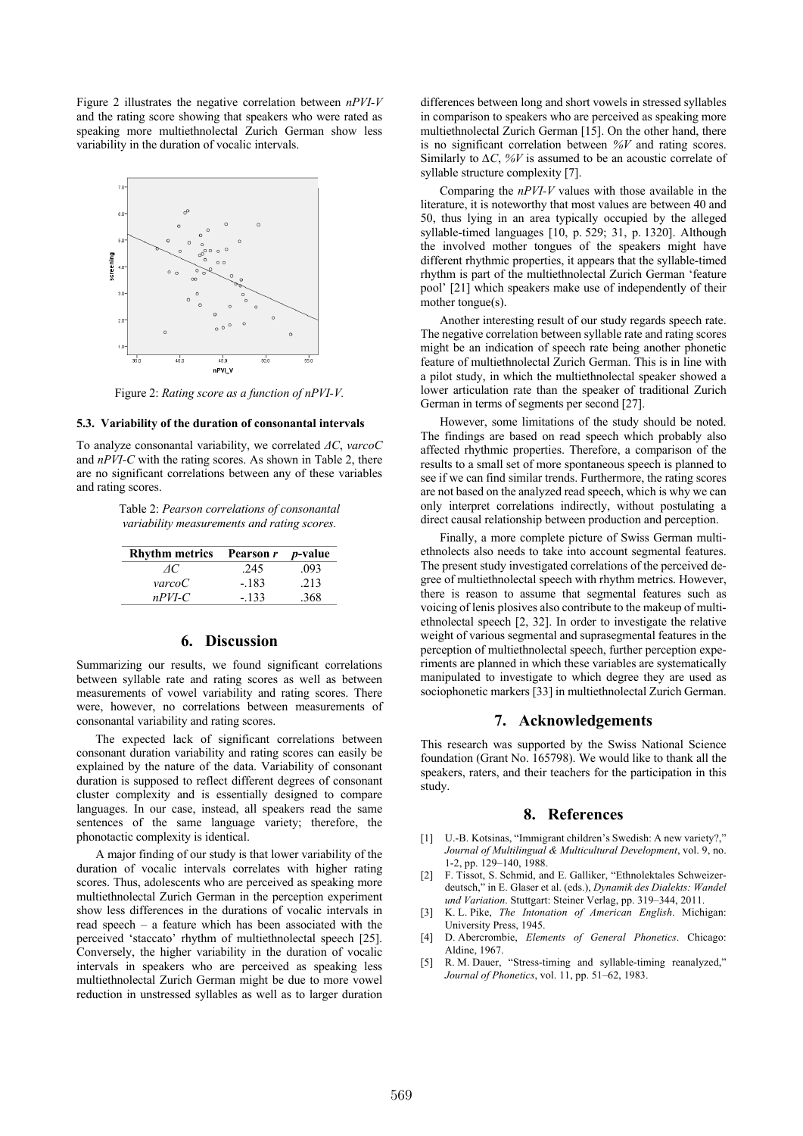Figure 2 illustrates the negative correlation between *nPVI-V*  and the rating score showing that speakers who were rated as speaking more multiethnolectal Zurich German show less variability in the duration of vocalic intervals.



Figure 2: *Rating score as a function of nPVI-V.*

#### **5.3. Variability of the duration of consonantal intervals**

To analyze consonantal variability, we correlated *ΔC*, *varcoC* and *nPVI-C* with the rating scores. As shown in Table 2, there are no significant correlations between any of these variables and rating scores.

> Table 2: *Pearson correlations of consonantal variability measurements and rating scores.*

| <b>Rhythm metrics</b> | Pearson r p-value |      |
|-----------------------|-------------------|------|
| Æ                     | .245              | .093 |
| <i>varcoC</i>         | $-.183$           | .213 |
| $n$ PVI-C             | $-133$            | .368 |

# **6. Discussion**

Summarizing our results, we found significant correlations between syllable rate and rating scores as well as between measurements of vowel variability and rating scores. There were, however, no correlations between measurements of consonantal variability and rating scores.

The expected lack of significant correlations between consonant duration variability and rating scores can easily be explained by the nature of the data. Variability of consonant duration is supposed to reflect different degrees of consonant cluster complexity and is essentially designed to compare languages. In our case, instead, all speakers read the same sentences of the same language variety; therefore, the phonotactic complexity is identical.

A major finding of our study is that lower variability of the duration of vocalic intervals correlates with higher rating scores. Thus, adolescents who are perceived as speaking more multiethnolectal Zurich German in the perception experiment show less differences in the durations of vocalic intervals in read speech – a feature which has been associated with the perceived 'staccato' rhythm of multiethnolectal speech [25]. Conversely, the higher variability in the duration of vocalic intervals in speakers who are perceived as speaking less multiethnolectal Zurich German might be due to more vowel reduction in unstressed syllables as well as to larger duration

differences between long and short vowels in stressed syllables in comparison to speakers who are perceived as speaking more multiethnolectal Zurich German [15]. On the other hand, there is no significant correlation between *%V* and rating scores. Similarly to *∆C*, *%V* is assumed to be an acoustic correlate of syllable structure complexity [7].

Comparing the *nPVI-V* values with those available in the literature, it is noteworthy that most values are between 40 and 50, thus lying in an area typically occupied by the alleged syllable-timed languages [10, p. 529; 31, p. 1320]. Although the involved mother tongues of the speakers might have different rhythmic properties, it appears that the syllable-timed rhythm is part of the multiethnolectal Zurich German 'feature pool' [21] which speakers make use of independently of their mother tongue(s).

Another interesting result of our study regards speech rate. The negative correlation between syllable rate and rating scores might be an indication of speech rate being another phonetic feature of multiethnolectal Zurich German. This is in line with a pilot study, in which the multiethnolectal speaker showed a lower articulation rate than the speaker of traditional Zurich German in terms of segments per second [27].

However, some limitations of the study should be noted. The findings are based on read speech which probably also affected rhythmic properties. Therefore, a comparison of the results to a small set of more spontaneous speech is planned to see if we can find similar trends. Furthermore, the rating scores are not based on the analyzed read speech, which is why we can only interpret correlations indirectly, without postulating a direct causal relationship between production and perception.

Finally, a more complete picture of Swiss German multiethnolects also needs to take into account segmental features. The present study investigated correlations of the perceived degree of multiethnolectal speech with rhythm metrics. However, there is reason to assume that segmental features such as voicing of lenis plosives also contribute to the makeup of multiethnolectal speech [2, 32]. In order to investigate the relative weight of various segmental and suprasegmental features in the perception of multiethnolectal speech, further perception experiments are planned in which these variables are systematically manipulated to investigate to which degree they are used as sociophonetic markers [33] in multiethnolectal Zurich German.

### **7. Acknowledgements**

This research was supported by the Swiss National Science foundation (Grant No. 165798). We would like to thank all the speakers, raters, and their teachers for the participation in this study.

### **8. References**

- [1] U.-B. Kotsinas, "Immigrant children's Swedish: A new variety?," *Journal of Multilingual & Multicultural Development*, vol. 9, no. 1-2, pp. 129–140, 1988.
- [2] F. Tissot, S. Schmid, and E. Galliker, "Ethnolektales Schweizerdeutsch," in E. Glaser et al. (eds.), *Dynamik des Dialekts: Wandel und Variation*. Stuttgart: Steiner Verlag, pp. 319–344, 2011.
- [3] K. L. Pike, *The Intonation of American English*. Michigan: University Press, 1945.
- [4] D. Abercrombie, *Elements of General Phonetics*. Chicago: Aldine, 1967.
- [5] R. M. Dauer, "Stress-timing and syllable-timing reanalyzed," *Journal of Phonetics*, vol. 11, pp. 51–62, 1983.